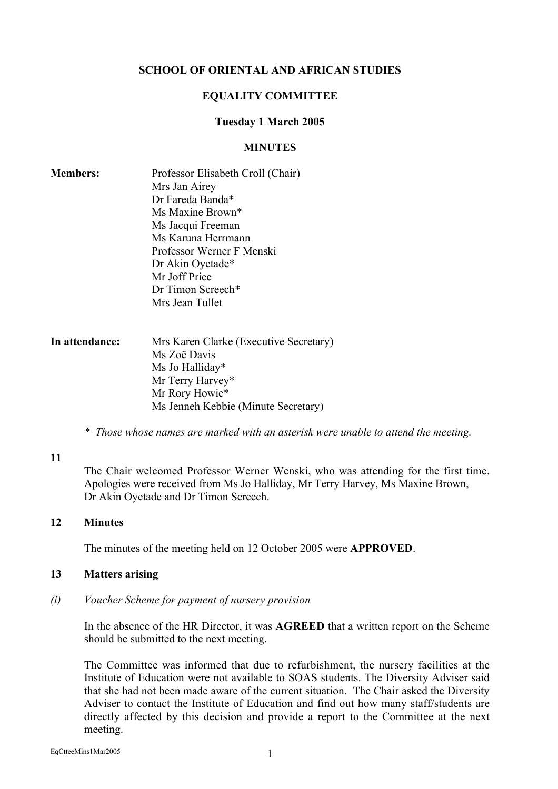## SCHOOL OF ORIENTAL AND AFRICAN STUDIES

#### EQUALITY COMMITTEE

#### Tuesday 1 March 2005

#### **MINUTES**

| <b>Members:</b> | Professor Elisabeth Croll (Chair) |
|-----------------|-----------------------------------|
|                 | Mrs Jan Airey                     |
|                 | Dr Fareda Banda*                  |
|                 | Ms Maxine Brown*                  |
|                 | Ms Jacqui Freeman                 |
|                 | Ms Karuna Herrmann                |
|                 | Professor Werner F Menski         |
|                 | Dr Akin Oyetade*                  |
|                 | Mr Joff Price                     |
|                 | Dr Timon Screech*                 |
|                 | Mrs Jean Tullet                   |
|                 |                                   |

| In attendance: | Mrs Karen Clarke (Executive Secretary) |
|----------------|----------------------------------------|
|                | Ms Zoë Davis                           |
|                | Ms Jo Halliday*                        |
|                | Mr Terry Harvey*                       |
|                | Mr Rory Howie*                         |
|                | Ms Jenneh Kebbie (Minute Secretary)    |

*\* Those whose names are marked with an asterisk were unable to attend the meeting.*

#### 11

The Chair welcomed Professor Werner Wenski, who was attending for the first time. Apologies were received from Ms Jo Halliday, Mr Terry Harvey, Ms Maxine Brown, Dr Akin Oyetade and Dr Timon Screech.

#### 12 Minutes

The minutes of the meeting held on 12 October 2005 were APPROVED.

#### 13 Matters arising

*(i) Voucher Scheme for payment of nursery provision*

In the absence of the HR Director, it was AGREED that a written report on the Scheme should be submitted to the next meeting.

The Committee was informed that due to refurbishment, the nursery facilities at the Institute of Education were not available to SOAS students. The Diversity Adviser said that she had not been made aware of the current situation. The Chair asked the Diversity Adviser to contact the Institute of Education and find out how many staff/students are directly affected by this decision and provide a report to the Committee at the next meeting.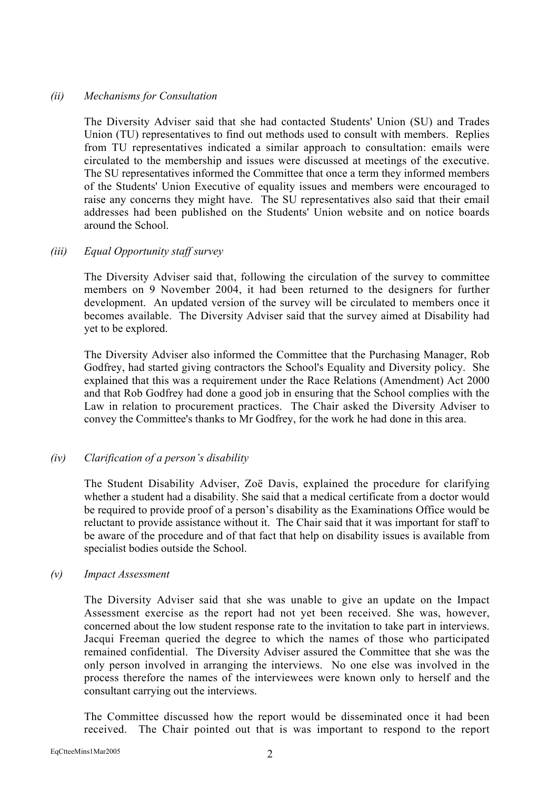## *(ii) Mechanisms for Consultation*

The Diversity Adviser said that she had contacted Students' Union (SU) and Trades Union (TU) representatives to find out methods used to consult with members. Replies from TU representatives indicated a similar approach to consultation: emails were circulated to the membership and issues were discussed at meetings of the executive. The SU representatives informed the Committee that once a term they informed members of the Students' Union Executive of equality issues and members were encouraged to raise any concerns they might have. The SU representatives also said that their email addresses had been published on the Students' Union website and on notice boards around the School.

## *(iii) Equal Opportunity staff survey*

The Diversity Adviser said that, following the circulation of the survey to committee members on 9 November 2004, it had been returned to the designers for further development. An updated version of the survey will be circulated to members once it becomes available. The Diversity Adviser said that the survey aimed at Disability had yet to be explored.

The Diversity Adviser also informed the Committee that the Purchasing Manager, Rob Godfrey, had started giving contractors the School's Equality and Diversity policy. She explained that this was a requirement under the Race Relations (Amendment) Act 2000 and that Rob Godfrey had done a good job in ensuring that the School complies with the Law in relation to procurement practices. The Chair asked the Diversity Adviser to convey the Committee's thanks to Mr Godfrey, for the work he had done in this area.

# *(iv) Clarification of a person's disability*

The Student Disability Adviser, Zoë Davis, explained the procedure for clarifying whether a student had a disability. She said that a medical certificate from a doctor would be required to provide proof of a person's disability as the Examinations Office would be reluctant to provide assistance without it. The Chair said that it was important for staff to be aware of the procedure and of that fact that help on disability issues is available from specialist bodies outside the School.

#### *(v) Impact Assessment*

The Diversity Adviser said that she was unable to give an update on the Impact Assessment exercise as the report had not yet been received. She was, however, concerned about the low student response rate to the invitation to take part in interviews. Jacqui Freeman queried the degree to which the names of those who participated remained confidential. The Diversity Adviser assured the Committee that she was the only person involved in arranging the interviews. No one else was involved in the process therefore the names of the interviewees were known only to herself and the consultant carrying out the interviews.

The Committee discussed how the report would be disseminated once it had been received. The Chair pointed out that is was important to respond to the report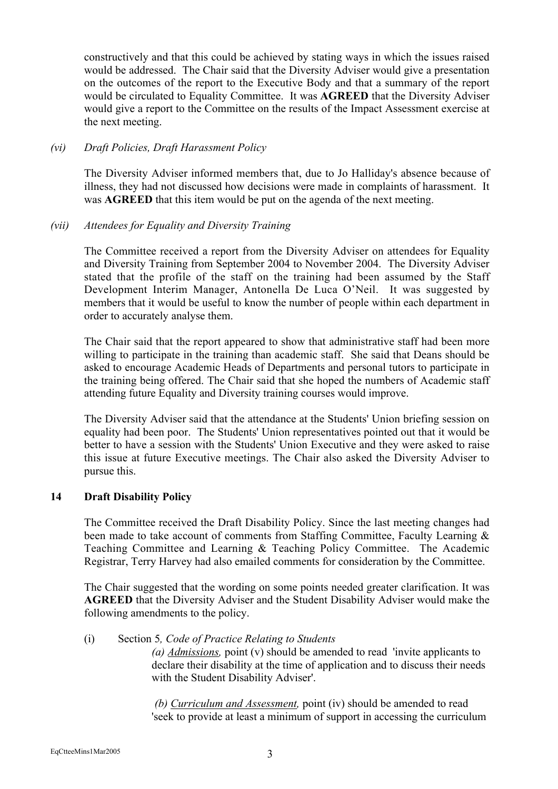constructively and that this could be achieved by stating ways in which the issues raised would be addressed. The Chair said that the Diversity Adviser would give a presentation on the outcomes of the report to the Executive Body and that a summary of the report would be circulated to Equality Committee. It was AGREED that the Diversity Adviser would give a report to the Committee on the results of the Impact Assessment exercise at the next meeting.

# *(vi) Draft Policies, Draft Harassment Policy*

The Diversity Adviser informed members that, due to Jo Halliday's absence because of illness, they had not discussed how decisions were made in complaints of harassment. It was AGREED that this item would be put on the agenda of the next meeting.

# *(vii) Attendees for Equality and Diversity Training*

The Committee received a report from the Diversity Adviser on attendees for Equality and Diversity Training from September 2004 to November 2004. The Diversity Adviser stated that the profile of the staff on the training had been assumed by the Staff Development Interim Manager, Antonella De Luca O'Neil. It was suggested by members that it would be useful to know the number of people within each department in order to accurately analyse them.

The Chair said that the report appeared to show that administrative staff had been more willing to participate in the training than academic staff. She said that Deans should be asked to encourage Academic Heads of Departments and personal tutors to participate in the training being offered. The Chair said that she hoped the numbers of Academic staff attending future Equality and Diversity training courses would improve.

The Diversity Adviser said that the attendance at the Students' Union briefing session on equality had been poor. The Students' Union representatives pointed out that it would be better to have a session with the Students' Union Executive and they were asked to raise this issue at future Executive meetings. The Chair also asked the Diversity Adviser to pursue this.

# 14 Draft Disability Policy

The Committee received the Draft Disability Policy. Since the last meeting changes had been made to take account of comments from Staffing Committee, Faculty Learning & Teaching Committee and Learning & Teaching Policy Committee. The Academic Registrar, Terry Harvey had also emailed comments for consideration by the Committee.

The Chair suggested that the wording on some points needed greater clarification. It was AGREED that the Diversity Adviser and the Student Disability Adviser would make the following amendments to the policy.

# (i) Section 5*, Code of Practice Relating to Students*

*(a) Admissions,* point (v) should be amended to read 'invite applicants to declare their disability at the time of application and to discuss their needs with the Student Disability Adviser'.

*(b) Curriculum and Assessment,* point (iv) should be amended to read 'seek to provide at least a minimum of support in accessing the curriculum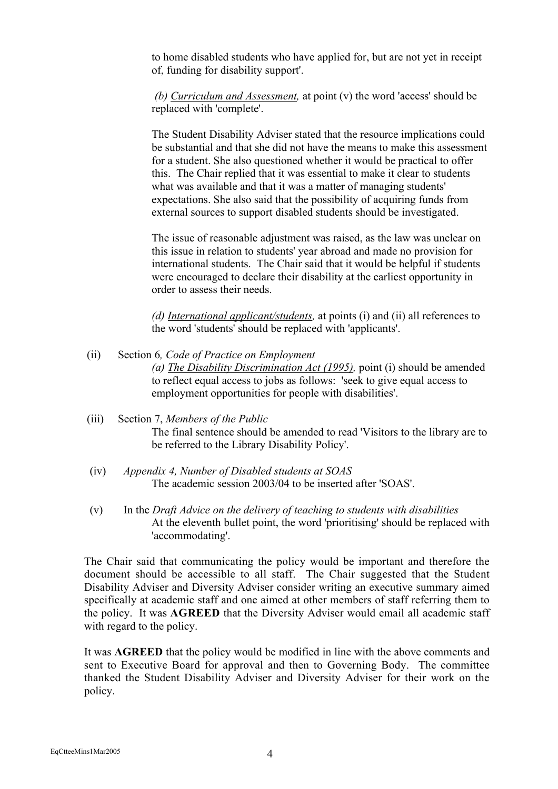to home disabled students who have applied for, but are not yet in receipt of, funding for disability support'.

*(b) Curriculum and Assessment,* at point (v) the word 'access' should be replaced with 'complete'.

The Student Disability Adviser stated that the resource implications could be substantial and that she did not have the means to make this assessment for a student. She also questioned whether it would be practical to offer this. The Chair replied that it was essential to make it clear to students what was available and that it was a matter of managing students' expectations. She also said that the possibility of acquiring funds from external sources to support disabled students should be investigated.

The issue of reasonable adjustment was raised, as the law was unclear on this issue in relation to students' year abroad and made no provision for international students. The Chair said that it would be helpful if students were encouraged to declare their disability at the earliest opportunity in order to assess their needs.

*(d) International applicant/students,* at points (i) and (ii) all references to the word 'students' should be replaced with 'applicants'.

 (ii) Section 6*, Code of Practice on Employment (a) The Disability Discrimination Act (1995),* point (i) should be amended to reflect equal access to jobs as follows: 'seek to give equal access to employment opportunities for people with disabilities'.

# (iii) Section 7, *Members of the Public* The final sentence should be amended to read 'Visitors to the library are to be referred to the Library Disability Policy'.

- (iv) *Appendix 4, Number of Disabled students at SOAS* The academic session 2003/04 to be inserted after 'SOAS'.
- (v) In the *Draft Advice on the delivery of teaching to students with disabilities* At the eleventh bullet point, the word 'prioritising' should be replaced with 'accommodating'.

The Chair said that communicating the policy would be important and therefore the document should be accessible to all staff. The Chair suggested that the Student Disability Adviser and Diversity Adviser consider writing an executive summary aimed specifically at academic staff and one aimed at other members of staff referring them to the policy. It was AGREED that the Diversity Adviser would email all academic staff with regard to the policy.

It was AGREED that the policy would be modified in line with the above comments and sent to Executive Board for approval and then to Governing Body. The committee thanked the Student Disability Adviser and Diversity Adviser for their work on the policy.